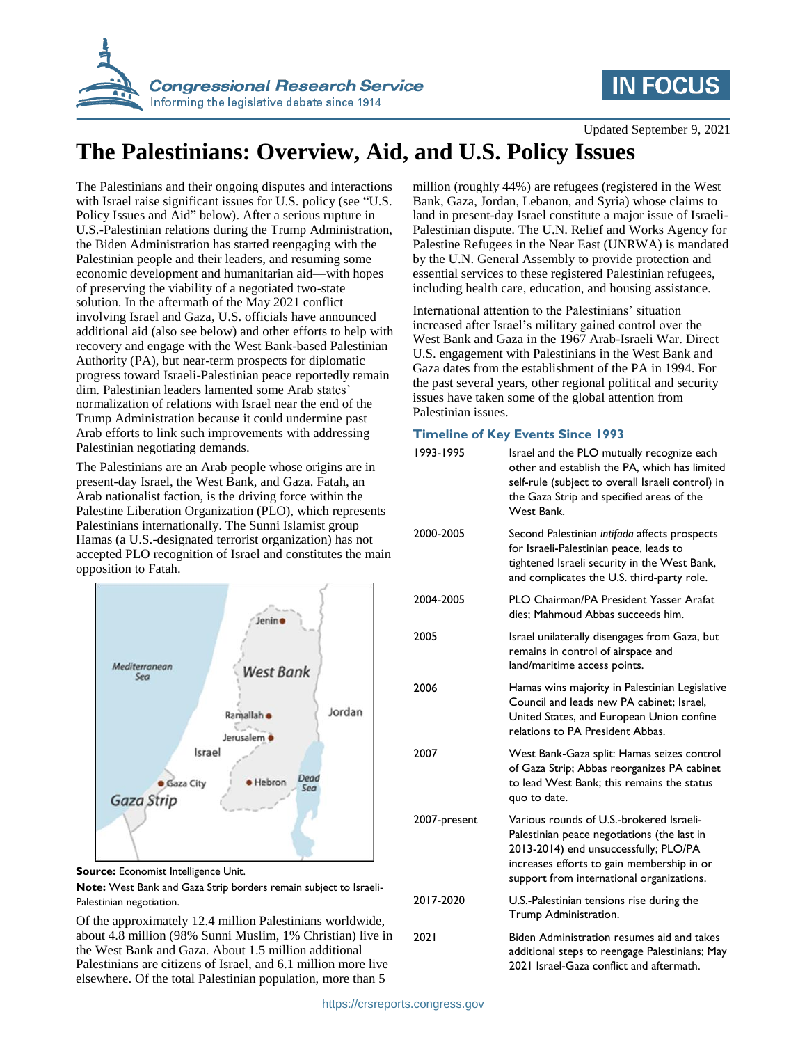

# **IN FOCUS**

Updated September 9, 2021

# **The Palestinians: Overview, Aid, and U.S. Policy Issues**

The Palestinians and their ongoing disputes and interactions with Israel raise significant issues for U.S. policy (see ["U.S.](#page-1-0)  [Policy Issues](#page-1-0) and Aid" below). After a serious rupture in U.S.-Palestinian relations during the Trump Administration, the Biden Administration has started reengaging with the Palestinian people and their leaders, and resuming some economic development and humanitarian aid—with hopes of preserving the viability of a negotiated two-state solution. In the aftermath of the May 2021 conflict involving Israel and Gaza, U.S. officials have announced additional aid (also see below) and other efforts to help with recovery and engage with the West Bank-based Palestinian Authority (PA), but near-term prospects for diplomatic progress toward Israeli-Palestinian peace reportedly remain dim. Palestinian leaders lamented some Arab states' normalization of relations with Israel near the end of the Trump Administration because it could undermine past Arab efforts to link such improvements with addressing Palestinian negotiating demands.

The Palestinians are an Arab people whose origins are in present-day Israel, the West Bank, and Gaza. Fatah, an Arab nationalist faction, is the driving force within the Palestine Liberation Organization (PLO), which represents Palestinians internationally. The Sunni Islamist group Hamas (a U.S.-designated terrorist organization) has not accepted PLO recognition of Israel and constitutes the main opposition to Fatah.



**Source:** Economist Intelligence Unit.

**Note:** West Bank and Gaza Strip borders remain subject to Israeli-Palestinian negotiation.

Of the approximately 12.4 million Palestinians worldwide, about 4.8 million (98% Sunni Muslim, 1% Christian) live in the West Bank and Gaza. About 1.5 million additional Palestinians are citizens of Israel, and 6.1 million more live elsewhere. Of the total Palestinian population, more than 5

million (roughly 44%) are refugees (registered in the West Bank, Gaza, Jordan, Lebanon, and Syria) whose claims to land in present-day Israel constitute a major issue of Israeli-Palestinian dispute. The U.N. Relief and Works Agency for Palestine Refugees in the Near East (UNRWA) is mandated by the U.N. General Assembly to provide protection and essential services to these registered Palestinian refugees, including health care, education, and housing assistance.

International attention to the Palestinians' situation increased after Israel's military gained control over the West Bank and Gaza in the 1967 Arab-Israeli War. Direct U.S. engagement with Palestinians in the West Bank and Gaza dates from the establishment of the PA in 1994. For the past several years, other regional political and security issues have taken some of the global attention from Palestinian issues.

### **Timeline of Key Events Since 1993**

| . <i>. .</i> |                                                                                                                                                                                                                             |
|--------------|-----------------------------------------------------------------------------------------------------------------------------------------------------------------------------------------------------------------------------|
| 1993-1995    | Israel and the PLO mutually recognize each<br>other and establish the PA, which has limited<br>self-rule (subject to overall Israeli control) in<br>the Gaza Strip and specified areas of the<br>West Bank.                 |
| 2000-2005    | Second Palestinian intifada affects prospects<br>for Israeli-Palestinian peace, leads to<br>tightened Israeli security in the West Bank,<br>and complicates the U.S. third-party role.                                      |
| 2004-2005    | <b>PLO Chairman/PA President Yasser Arafat</b><br>dies: Mahmoud Abbas succeeds him.                                                                                                                                         |
| 2005         | Israel unilaterally disengages from Gaza, but<br>remains in control of airspace and<br>land/maritime access points.                                                                                                         |
| 2006         | Hamas wins majority in Palestinian Legislative<br>Council and leads new PA cabinet; Israel,<br>United States, and European Union confine<br>relations to PA President Abbas.                                                |
| 2007         | West Bank-Gaza split: Hamas seizes control<br>of Gaza Strip; Abbas reorganizes PA cabinet<br>to lead West Bank: this remains the status<br>quo to date.                                                                     |
| 2007-present | Various rounds of U.S.-brokered Israeli-<br>Palestinian peace negotiations (the last in<br>2013-2014) end unsuccessfully; PLO/PA<br>increases efforts to gain membership in or<br>support from international organizations. |
| 2017-2020    | U.S.-Palestinian tensions rise during the<br>Trump Administration.                                                                                                                                                          |
| 2021         | Biden Administration resumes aid and takes<br>additional steps to reengage Palestinians; May<br>2021 Israel-Gaza conflict and aftermath.                                                                                    |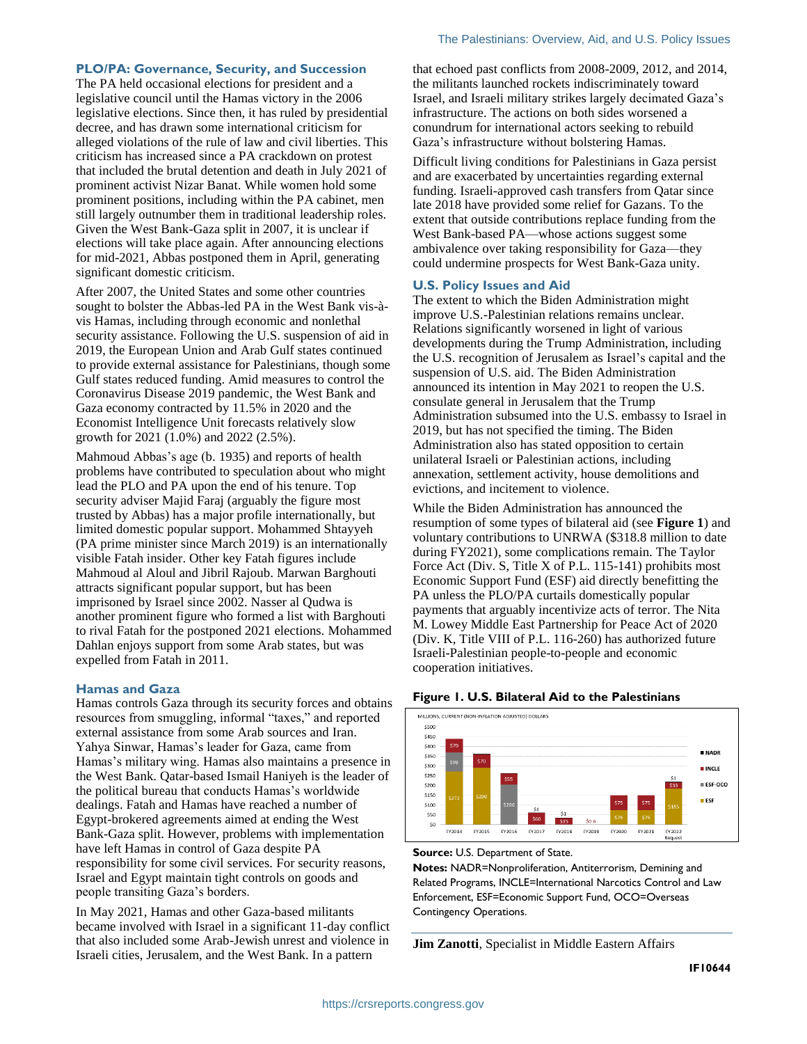### **PLO/PA: Governance, Security, and Succession**

The PA held occasional elections for president and a legislative council until the Hamas victory in the 2006 legislative elections. Since then, it has ruled by presidential decree, and has drawn some international criticism for alleged violations of the rule of law and civil liberties. This criticism has increased since a PA crackdown on protest that included the brutal detention and death in July 2021 of prominent activist Nizar Banat. While women hold some prominent positions, including within the PA cabinet, men still largely outnumber them in traditional leadership roles. Given the West Bank-Gaza split in 2007, it is unclear if elections will take place again. After announcing elections for mid-2021, Abbas postponed them in April, generating significant domestic criticism.

After 2007, the United States and some other countries sought to bolster the Abbas-led PA in the West Bank vis-àvis Hamas, including through economic and nonlethal security assistance. Following the U.S. suspension of aid in 2019, the European Union and Arab Gulf states continued to provide external assistance for Palestinians, though some Gulf states reduced funding. Amid measures to control the Coronavirus Disease 2019 pandemic, the West Bank and Gaza economy contracted by 11.5% in 2020 and the Economist Intelligence Unit forecasts relatively slow growth for 2021 (1.0%) and 2022 (2.5%).

Mahmoud Abbas's age (b. 1935) and reports of health problems have contributed to speculation about who might lead the PLO and PA upon the end of his tenure. Top security adviser Majid Faraj (arguably the figure most trusted by Abbas) has a major profile internationally, but limited domestic popular support. Mohammed Shtayyeh (PA prime minister since March 2019) is an internationally visible Fatah insider. Other key Fatah figures include Mahmoud al Aloul and Jibril Rajoub. Marwan Barghouti attracts significant popular support, but has been imprisoned by Israel since 2002. Nasser al Qudwa is another prominent figure who formed a list with Barghouti to rival Fatah for the postponed 2021 elections. Mohammed Dahlan enjoys support from some Arab states, but was expelled from Fatah in 2011.

#### **Hamas and Gaza**

Hamas controls Gaza through its security forces and obtains resources from smuggling, informal "taxes," and reported external assistance from some Arab sources and Iran. Yahya Sinwar, Hamas's leader for Gaza, came from Hamas's military wing. Hamas also maintains a presence in the West Bank. Qatar-based Ismail Haniyeh is the leader of the political bureau that conducts Hamas's worldwide dealings. Fatah and Hamas have reached a number of Egypt-brokered agreements aimed at ending the West Bank-Gaza split. However, problems with implementation have left Hamas in control of Gaza despite PA responsibility for some civil services. For security reasons, Israel and Egypt maintain tight controls on goods and people transiting Gaza's borders.

In May 2021, Hamas and other Gaza-based militants became involved with Israel in a significant 11-day conflict that also included some Arab-Jewish unrest and violence in Israeli cities, Jerusalem, and the West Bank. In a pattern

that echoed past conflicts from 2008-2009, 2012, and 2014, the militants launched rockets indiscriminately toward Israel, and Israeli military strikes largely decimated Gaza's infrastructure. The actions on both sides worsened a conundrum for international actors seeking to rebuild Gaza's infrastructure without bolstering Hamas.

Difficult living conditions for Palestinians in Gaza persist and are exacerbated by uncertainties regarding external funding. Israeli-approved cash transfers from Qatar since late 2018 have provided some relief for Gazans. To the extent that outside contributions replace funding from the West Bank-based PA—whose actions suggest some ambivalence over taking responsibility for Gaza—they could undermine prospects for West Bank-Gaza unity.

#### <span id="page-1-0"></span>**U.S. Policy Issues and Aid**

The extent to which the Biden Administration might improve U.S.-Palestinian relations remains unclear. Relations significantly worsened in light of various developments during the Trump Administration, including the U.S. recognition of Jerusalem as Israel's capital and the suspension of U.S. aid. The Biden Administration announced its intention in May 2021 to reopen the U.S. consulate general in Jerusalem that the Trump Administration subsumed into the U.S. embassy to Israel in 2019, but has not specified the timing. The Biden Administration also has stated opposition to certain unilateral Israeli or Palestinian actions, including annexation, settlement activity, house demolitions and evictions, and incitement to violence.

While the Biden Administration has announced the resumption of some types of bilateral aid (see **[Figure 1](#page-1-1)**) and voluntary contributions to UNRWA (\$318.8 million to date during FY2021), some complications remain. The Taylor Force Act (Div. S, Title X of P.L. 115-141) prohibits most Economic Support Fund (ESF) aid directly benefitting the PA unless the PLO/PA curtails domestically popular payments that arguably incentivize acts of terror. The Nita M. Lowey Middle East Partnership for Peace Act of 2020 (Div. K, Title VIII of P.L. 116-260) has authorized future Israeli-Palestinian people-to-people and economic cooperation initiatives.

#### <span id="page-1-1"></span>**Figure 1. U.S. Bilateral Aid to the Palestinians**



#### **Source:** U.S. Department of State.

**Notes:** NADR=Nonproliferation, Antiterrorism, Demining and Related Programs, INCLE=International Narcotics Control and Law Enforcement, ESF=Economic Support Fund, OCO=Overseas Contingency Operations.

**Jim Zanotti**, Specialist in Middle Eastern Affairs